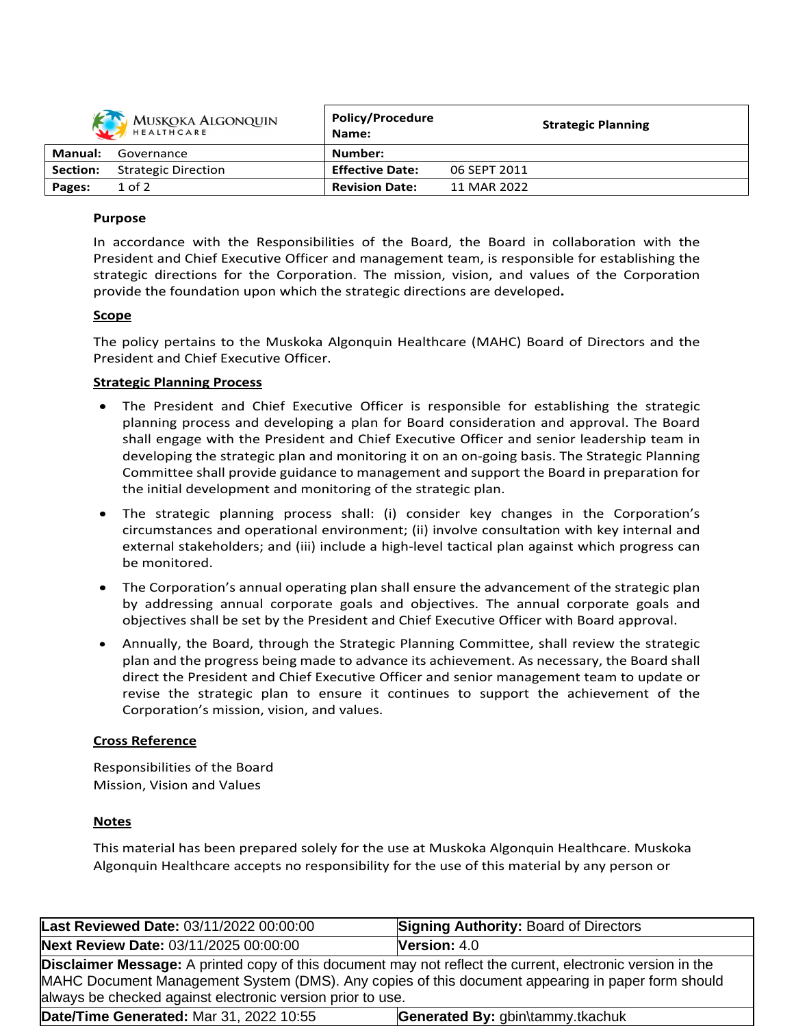| MUSKOKA ALGONQUIN |                            | <b>Policy/Procedure</b><br>Name: |              | <b>Strategic Planning</b> |
|-------------------|----------------------------|----------------------------------|--------------|---------------------------|
| Manual:           | Governance                 | Number:                          |              |                           |
| <b>Section:</b>   | <b>Strategic Direction</b> | <b>Effective Date:</b>           | 06 SEPT 2011 |                           |
| Pages:            | $1$ of $2$                 | <b>Revision Date:</b>            | 11 MAR 2022  |                           |

### **Purpose**

In accordance with the Responsibilities of the Board, the Board in collaboration with the President and Chief Executive Officer and management team, is responsible for establishing the strategic directions for the Corporation. The mission, vision, and values of the Corporation provide the foundation upon which the strategic directions are developed**.**

## **Scope**

The policy pertains to the Muskoka Algonquin Healthcare (MAHC) Board of Directors and the President and Chief Executive Officer.

## **Strategic Planning Process**

- The President and Chief Executive Officer is responsible for establishing the strategic planning process and developing a plan for Board consideration and approval. The Board shall engage with the President and Chief Executive Officer and senior leadership team in developing the strategic plan and monitoring it on an on-going basis. The Strategic Planning Committee shall provide guidance to management and support the Board in preparation for the initial development and monitoring of the strategic plan.
- The strategic planning process shall: (i) consider key changes in the Corporation's circumstances and operational environment; (ii) involve consultation with key internal and external stakeholders; and (iii) include a high-level tactical plan against which progress can be monitored.
- The Corporation's annual operating plan shall ensure the advancement of the strategic plan by addressing annual corporate goals and objectives. The annual corporate goals and objectives shall be set by the President and Chief Executive Officer with Board approval.
- Annually, the Board, through the Strategic Planning Committee, shall review the strategic plan and the progress being made to advance its achievement. As necessary, the Board shall direct the President and Chief Executive Officer and senior management team to update or revise the strategic plan to ensure it continues to support the achievement of the Corporation's mission, vision, and values.

# **Cross Reference**

Responsibilities of the Board Mission, Vision and Values

# **Notes**

This material has been prepared solely for the use at Muskoka Algonquin Healthcare. Muskoka Algonquin Healthcare accepts no responsibility for the use of this material by any person or

| Last Reviewed Date: 03/11/2022 00:00:00                                                                                                                                                                                                                                              | <b>Signing Authority: Board of Directors</b> |  |  |  |  |  |
|--------------------------------------------------------------------------------------------------------------------------------------------------------------------------------------------------------------------------------------------------------------------------------------|----------------------------------------------|--|--|--|--|--|
| Next Review Date: 03/11/2025 00:00:00                                                                                                                                                                                                                                                | <b>Version: <math>4.0</math></b>             |  |  |  |  |  |
| <b>Disclaimer Message:</b> A printed copy of this document may not reflect the current, electronic version in the<br>MAHC Document Management System (DMS). Any copies of this document appearing in paper form should<br>always be checked against electronic version prior to use. |                                              |  |  |  |  |  |
| <b>Date/Time Generated: Mar 31, 2022 10:55</b>                                                                                                                                                                                                                                       | Generated By: gbin\tammy.tkachuk             |  |  |  |  |  |